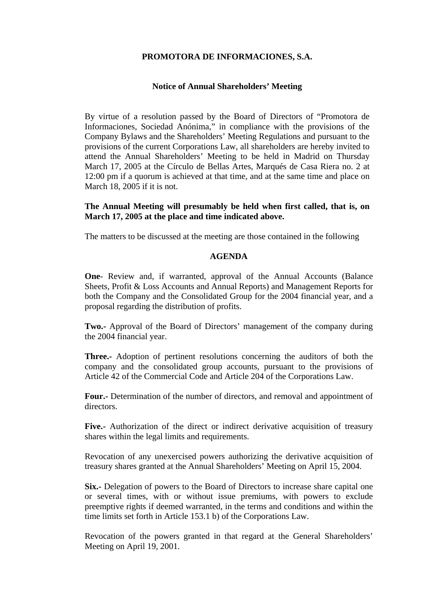# **PROMOTORA DE INFORMACIONES, S.A.**

# **Notice of Annual Shareholders' Meeting**

By virtue of a resolution passed by the Board of Directors of "Promotora de Informaciones, Sociedad Anónima," in compliance with the provisions of the Company Bylaws and the Shareholders' Meeting Regulations and pursuant to the provisions of the current Corporations Law, all shareholders are hereby invited to attend the Annual Shareholders' Meeting to be held in Madrid on Thursday March 17, 2005 at the Círculo de Bellas Artes, Marqués de Casa Riera no. 2 at 12:00 pm if a quorum is achieved at that time, and at the same time and place on March 18, 2005 if it is not.

**The Annual Meeting will presumably be held when first called, that is, on March 17, 2005 at the place and time indicated above.** 

The matters to be discussed at the meeting are those contained in the following

## **AGENDA**

**One**- Review and, if warranted, approval of the Annual Accounts (Balance Sheets, Profit & Loss Accounts and Annual Reports) and Management Reports for both the Company and the Consolidated Group for the 2004 financial year, and a proposal regarding the distribution of profits.

**Two.-** Approval of the Board of Directors' management of the company during the 2004 financial year.

**Three.-** Adoption of pertinent resolutions concerning the auditors of both the company and the consolidated group accounts, pursuant to the provisions of Article 42 of the Commercial Code and Article 204 of the Corporations Law.

**Four.-** Determination of the number of directors, and removal and appointment of directors.

**Five.-** Authorization of the direct or indirect derivative acquisition of treasury shares within the legal limits and requirements.

Revocation of any unexercised powers authorizing the derivative acquisition of treasury shares granted at the Annual Shareholders' Meeting on April 15, 2004.

**Six.** Delegation of powers to the Board of Directors to increase share capital one or several times, with or without issue premiums, with powers to exclude preemptive rights if deemed warranted, in the terms and conditions and within the time limits set forth in Article 153.1 b) of the Corporations Law.

Revocation of the powers granted in that regard at the General Shareholders' Meeting on April 19, 2001.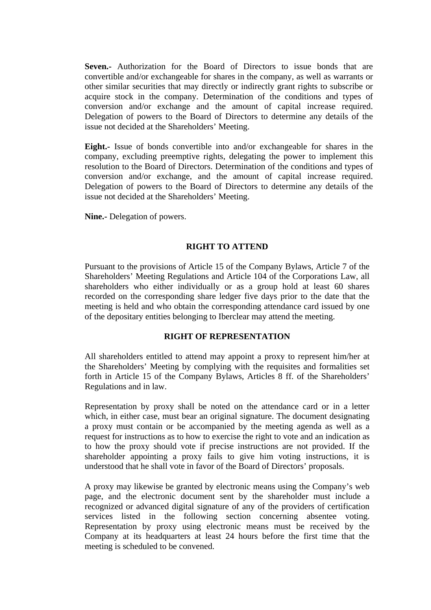**Seven.-** Authorization for the Board of Directors to issue bonds that are convertible and/or exchangeable for shares in the company, as well as warrants or other similar securities that may directly or indirectly grant rights to subscribe or acquire stock in the company. Determination of the conditions and types of conversion and/or exchange and the amount of capital increase required. Delegation of powers to the Board of Directors to determine any details of the issue not decided at the Shareholders' Meeting.

**Eight.-** Issue of bonds convertible into and/or exchangeable for shares in the company, excluding preemptive rights, delegating the power to implement this resolution to the Board of Directors. Determination of the conditions and types of conversion and/or exchange, and the amount of capital increase required. Delegation of powers to the Board of Directors to determine any details of the issue not decided at the Shareholders' Meeting.

**Nine.-** Delegation of powers.

#### **RIGHT TO ATTEND**

Pursuant to the provisions of Article 15 of the Company Bylaws, Article 7 of the Shareholders' Meeting Regulations and Article 104 of the Corporations Law, all shareholders who either individually or as a group hold at least 60 shares recorded on the corresponding share ledger five days prior to the date that the meeting is held and who obtain the corresponding attendance card issued by one of the depositary entities belonging to Iberclear may attend the meeting.

#### **RIGHT OF REPRESENTATION**

All shareholders entitled to attend may appoint a proxy to represent him/her at the Shareholders' Meeting by complying with the requisites and formalities set forth in Article 15 of the Company Bylaws, Articles 8 ff. of the Shareholders' Regulations and in law.

Representation by proxy shall be noted on the attendance card or in a letter which, in either case, must bear an original signature. The document designating a proxy must contain or be accompanied by the meeting agenda as well as a request for instructions as to how to exercise the right to vote and an indication as to how the proxy should vote if precise instructions are not provided. If the shareholder appointing a proxy fails to give him voting instructions, it is understood that he shall vote in favor of the Board of Directors' proposals.

A proxy may likewise be granted by electronic means using the Company's web page, and the electronic document sent by the shareholder must include a recognized or advanced digital signature of any of the providers of certification services listed in the following section concerning absentee voting. Representation by proxy using electronic means must be received by the Company at its headquarters at least 24 hours before the first time that the meeting is scheduled to be convened.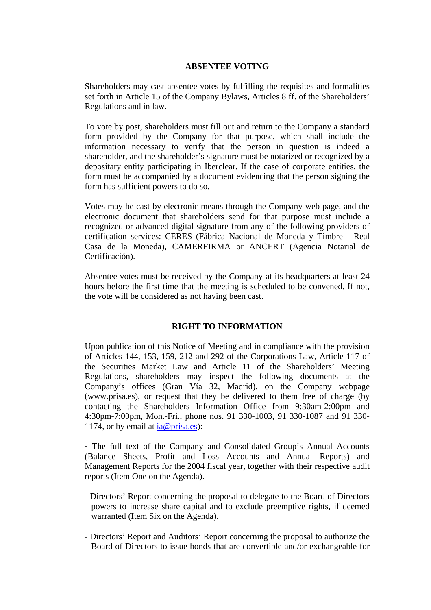# **ABSENTEE VOTING**

Shareholders may cast absentee votes by fulfilling the requisites and formalities set forth in Article 15 of the Company Bylaws, Articles 8 ff. of the Shareholders' Regulations and in law.

To vote by post, shareholders must fill out and return to the Company a standard form provided by the Company for that purpose, which shall include the information necessary to verify that the person in question is indeed a shareholder, and the shareholder's signature must be notarized or recognized by a depositary entity participating in Iberclear. If the case of corporate entities, the form must be accompanied by a document evidencing that the person signing the form has sufficient powers to do so.

Votes may be cast by electronic means through the Company web page, and the electronic document that shareholders send for that purpose must include a recognized or advanced digital signature from any of the following providers of certification services: CERES (Fábrica Nacional de Moneda y Timbre - Real Casa de la Moneda), CAMERFIRMA or ANCERT (Agencia Notarial de Certificación).

Absentee votes must be received by the Company at its headquarters at least 24 hours before the first time that the meeting is scheduled to be convened. If not, the vote will be considered as not having been cast.

## **RIGHT TO INFORMATION**

Upon publication of this Notice of Meeting and in compliance with the provision of Articles 144, 153, 159, 212 and 292 of the Corporations Law, Article 117 of the Securities Market Law and Article 11 of the Shareholders' Meeting Regulations, shareholders may inspect the following documents at the Company's offices (Gran Vía 32, Madrid), on the Company webpage (www.prisa.es), or request that they be delivered to them free of charge (by contacting the Shareholders Information Office from 9:30am-2:00pm and 4:30pm-7:00pm, Mon.-Fri., phone nos. 91 330-1003, 91 330-1087 and 91 330- 1174, or by email at  $\text{i}a@ \text{prisa.es}$ :

**-** The full text of the Company and Consolidated Group's Annual Accounts (Balance Sheets, Profit and Loss Accounts and Annual Reports) and Management Reports for the 2004 fiscal year, together with their respective audit reports (Item One on the Agenda).

- Directors' Report concerning the proposal to delegate to the Board of Directors powers to increase share capital and to exclude preemptive rights, if deemed warranted (Item Six on the Agenda).
- Directors' Report and Auditors' Report concerning the proposal to authorize the Board of Directors to issue bonds that are convertible and/or exchangeable for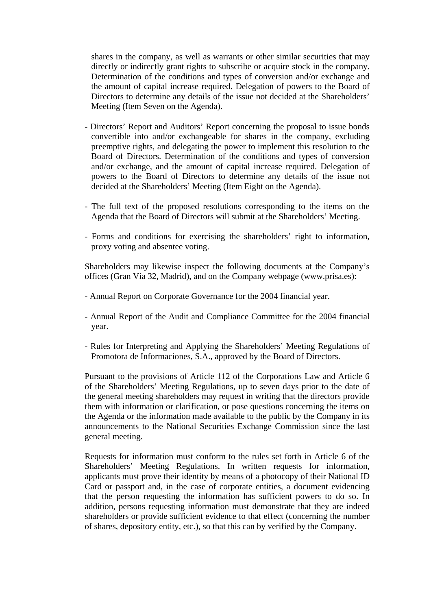shares in the company, as well as warrants or other similar securities that may directly or indirectly grant rights to subscribe or acquire stock in the company. Determination of the conditions and types of conversion and/or exchange and the amount of capital increase required. Delegation of powers to the Board of Directors to determine any details of the issue not decided at the Shareholders' Meeting (Item Seven on the Agenda).

- Directors' Report and Auditors' Report concerning the proposal to issue bonds convertible into and/or exchangeable for shares in the company, excluding preemptive rights, and delegating the power to implement this resolution to the Board of Directors. Determination of the conditions and types of conversion and/or exchange, and the amount of capital increase required. Delegation of powers to the Board of Directors to determine any details of the issue not decided at the Shareholders' Meeting (Item Eight on the Agenda).
- The full text of the proposed resolutions corresponding to the items on the Agenda that the Board of Directors will submit at the Shareholders' Meeting.
- Forms and conditions for exercising the shareholders' right to information, proxy voting and absentee voting.

Shareholders may likewise inspect the following documents at the Company's offices (Gran Vía 32, Madrid), and on the Company webpage (www.prisa.es):

- Annual Report on Corporate Governance for the 2004 financial year.
- Annual Report of the Audit and Compliance Committee for the 2004 financial year.
- Rules for Interpreting and Applying the Shareholders' Meeting Regulations of Promotora de Informaciones, S.A., approved by the Board of Directors.

Pursuant to the provisions of Article 112 of the Corporations Law and Article 6 of the Shareholders' Meeting Regulations, up to seven days prior to the date of the general meeting shareholders may request in writing that the directors provide them with information or clarification, or pose questions concerning the items on the Agenda or the information made available to the public by the Company in its announcements to the National Securities Exchange Commission since the last general meeting.

Requests for information must conform to the rules set forth in Article 6 of the Shareholders' Meeting Regulations. In written requests for information, applicants must prove their identity by means of a photocopy of their National ID Card or passport and, in the case of corporate entities, a document evidencing that the person requesting the information has sufficient powers to do so. In addition, persons requesting information must demonstrate that they are indeed shareholders or provide sufficient evidence to that effect (concerning the number of shares, depository entity, etc.), so that this can by verified by the Company.